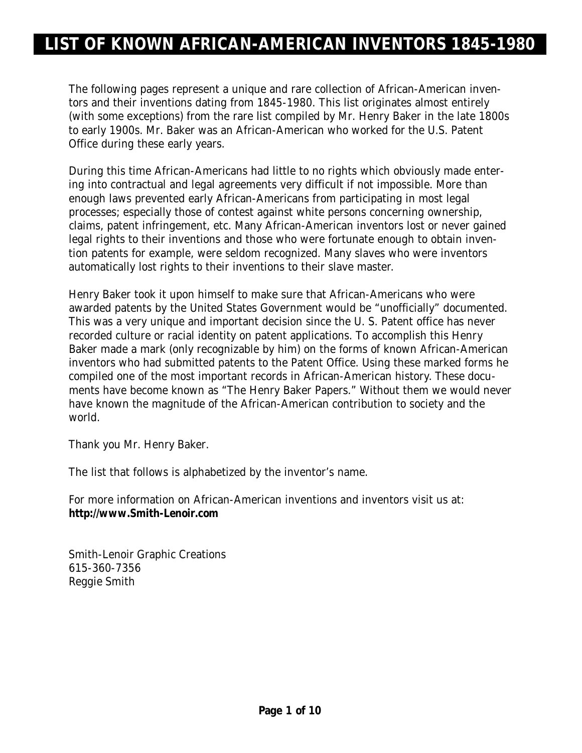The following pages represent a unique and rare collection of African-American inventors and their inventions dating from 1845-1980. This list originates almost entirely (with some exceptions) from the rare list compiled by Mr. Henry Baker in the late 1800s to early 1900s. Mr. Baker was an African-American who worked for the U.S. Patent Office during these early years.

During this time African-Americans had little to no rights which obviously made entering into contractual and legal agreements very difficult if not impossible. More than enough laws prevented early African-Americans from participating in most legal processes; especially those of contest against white persons concerning ownership, claims, patent infringement, etc. Many African-American inventors lost or never gained legal rights to their inventions and those who were fortunate enough to obtain invention patents for example, were seldom recognized. Many slaves who were inventors automatically lost rights to their inventions to their slave master.

Henry Baker took it upon himself to make sure that African-Americans who were awarded patents by the United States Government would be "unofficially" documented. This was a very unique and important decision since the U. S. Patent office has never recorded culture or racial identity on patent applications. To accomplish this Henry Baker made a mark (only recognizable by him) on the forms of known African-American inventors who had submitted patents to the Patent Office. Using these marked forms he compiled one of the most important records in African-American history. These documents have become known as "The Henry Baker Papers." Without them we would never have known the magnitude of the African-American contribution to society and the world.

Thank you Mr. Henry Baker.

The list that follows is alphabetized by the inventor's name.

For more information on African-American inventions and inventors visit us at: **http://www.Smith-Lenoir.com**

Smith-Lenoir Graphic Creations 615-360-7356 Reggie Smith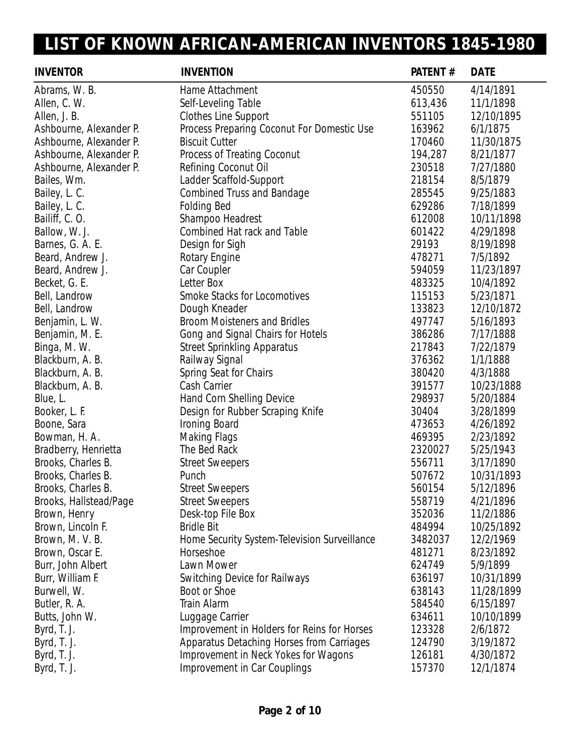J.

| <b>INVENTOR</b>         | <b>INVENTION</b>                             | PATENT# | <b>DATE</b> |
|-------------------------|----------------------------------------------|---------|-------------|
| Abrams, W. B.           | Hame Attachment                              | 450550  | 4/14/1891   |
| Allen, C. W.            | Self-Leveling Table                          | 613,436 | 11/1/1898   |
| Allen, J. B.            | Clothes Line Support                         | 551105  | 12/10/1895  |
| Ashbourne, Alexander P. | Process Preparing Coconut For Domestic Use   | 163962  | 6/1/1875    |
| Ashbourne, Alexander P. | <b>Biscuit Cutter</b>                        | 170460  | 11/30/1875  |
| Ashbourne, Alexander P. | Process of Treating Coconut                  | 194,287 | 8/21/1877   |
| Ashbourne, Alexander P. | Refining Coconut Oil                         | 230518  | 7/27/1880   |
| Bailes, Wm.             | Ladder Scaffold-Support                      | 218154  | 8/5/1879    |
| Bailey, L. C.           | <b>Combined Truss and Bandage</b>            | 285545  | 9/25/1883   |
| Bailey, L. C.           | <b>Folding Bed</b>                           | 629286  | 7/18/1899   |
| Bailiff, C.O.           | Shampoo Headrest                             | 612008  | 10/11/1898  |
| Ballow, W. J.           | <b>Combined Hat rack and Table</b>           | 601422  | 4/29/1898   |
| Barnes, G. A. E.        | Design for Sigh                              | 29193   | 8/19/1898   |
| Beard, Andrew J.        | Rotary Engine                                | 478271  | 7/5/1892    |
| Beard, Andrew J.        | Car Coupler                                  | 594059  | 11/23/1897  |
| Becket, G. E.           | Letter Box                                   | 483325  | 10/4/1892   |
| Bell, Landrow           | Smoke Stacks for Locomotives                 | 115153  | 5/23/1871   |
| Bell, Landrow           | Dough Kneader                                | 133823  | 12/10/1872  |
| Benjamin, L. W.         | <b>Broom Moisteners and Bridles</b>          | 497747  | 5/16/1893   |
| Benjamin, M. E.         | Gong and Signal Chairs for Hotels            | 386286  | 7/17/1888   |
| Binga, M. W.            | <b>Street Sprinkling Apparatus</b>           | 217843  | 7/22/1879   |
| Blackburn, A. B.        | Railway Signal                               | 376362  | 1/1/1888    |
| Blackburn, A. B.        | Spring Seat for Chairs                       | 380420  | 4/3/1888    |
| Blackburn, A. B.        | Cash Carrier                                 | 391577  | 10/23/1888  |
| Blue, L.                | Hand Corn Shelling Device                    | 298937  | 5/20/1884   |
| Booker, L. F.           | Design for Rubber Scraping Knife             | 30404   | 3/28/1899   |
| Boone, Sara             | Ironing Board                                | 473653  | 4/26/1892   |
| Bowman, H. A.           | <b>Making Flags</b>                          | 469395  | 2/23/1892   |
| Bradberry, Henrietta    | The Bed Rack                                 | 2320027 | 5/25/1943   |
| Brooks, Charles B.      | <b>Street Sweepers</b>                       | 556711  | 3/17/1890   |
| Brooks, Charles B.      | Punch                                        | 507672  | 10/31/1893  |
| Brooks, Charles B.      | <b>Street Sweepers</b>                       | 560154  | 5/12/1896   |
| Brooks, Hallstead/Page  | <b>Street Sweepers</b>                       | 558719  | 4/21/1896   |
| Brown, Henry            | Desk-top File Box                            | 352036  | 11/2/1886   |
| Brown, Lincoln F.       | <b>Bridle Bit</b>                            | 484994  | 10/25/1892  |
| Brown, M. V. B.         | Home Security System-Television Surveillance | 3482037 | 12/2/1969   |
| Brown, Oscar E.         | Horseshoe                                    | 481271  | 8/23/1892   |
| Burr, John Albert       | Lawn Mower                                   | 624749  | 5/9/1899    |
| Burr, William F.        | <b>Switching Device for Railways</b>         | 636197  | 10/31/1899  |
| Burwell, W.             | Boot or Shoe                                 | 638143  | 11/28/1899  |
| Butler, R. A.           | <b>Train Alarm</b>                           | 584540  | 6/15/1897   |
| Butts, John W.          | Luggage Carrier                              | 634611  | 10/10/1899  |
| Byrd, T. J.             | Improvement in Holders for Reins for Horses  | 123328  | 2/6/1872    |
| Byrd, T. J.             | Apparatus Detaching Horses from Carriages    | 124790  | 3/19/1872   |
| Byrd, T. J.             | Improvement in Neck Yokes for Wagons         | 126181  | 4/30/1872   |
| Byrd, T. J.             | Improvement in Car Couplings                 | 157370  | 12/1/1874   |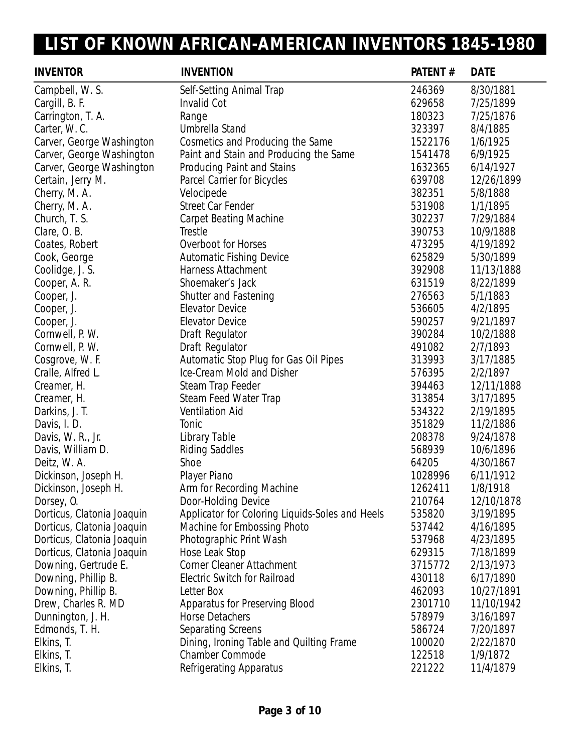| <b>INVENTOR</b>            | <b>INVENTION</b>                                | PATENT# | <b>DATE</b> |
|----------------------------|-------------------------------------------------|---------|-------------|
| Campbell, W. S.            | Self-Setting Animal Trap                        | 246369  | 8/30/1881   |
| Cargill, B. F.             | <b>Invalid Cot</b>                              | 629658  | 7/25/1899   |
| Carrington, T. A.          | Range                                           | 180323  | 7/25/1876   |
| Carter, W.C.               | Umbrella Stand                                  | 323397  | 8/4/1885    |
| Carver, George Washington  | Cosmetics and Producing the Same                | 1522176 | 1/6/1925    |
| Carver, George Washington  | Paint and Stain and Producing the Same          | 1541478 | 6/9/1925    |
| Carver, George Washington  | <b>Producing Paint and Stains</b>               | 1632365 | 6/14/1927   |
| Certain, Jerry M.          | Parcel Carrier for Bicycles                     | 639708  | 12/26/1899  |
| Cherry, M. A.              | Velocipede                                      | 382351  | 5/8/1888    |
| Cherry, M. A.              | <b>Street Car Fender</b>                        | 531908  | 1/1/1895    |
| Church, T. S.              | <b>Carpet Beating Machine</b>                   | 302237  | 7/29/1884   |
| Clare, O.B.                | <b>Trestle</b>                                  | 390753  | 10/9/1888   |
| Coates, Robert             | Overboot for Horses                             | 473295  | 4/19/1892   |
| Cook, George               | <b>Automatic Fishing Device</b>                 | 625829  | 5/30/1899   |
| Coolidge, J. S.            | <b>Harness Attachment</b>                       | 392908  | 11/13/1888  |
| Cooper, A. R.              | Shoemaker's Jack                                | 631519  | 8/22/1899   |
| Cooper, J.                 | <b>Shutter and Fastening</b>                    | 276563  | 5/1/1883    |
| Cooper, J.                 | <b>Elevator Device</b>                          | 536605  | 4/2/1895    |
| Cooper, J.                 | <b>Elevator Device</b>                          | 590257  | 9/21/1897   |
| Cornwell, P. W.            | Draft Regulator                                 | 390284  | 10/2/1888   |
| Cornwell, P. W.            | Draft Regulator                                 | 491082  | 2/7/1893    |
| Cosgrove, W. F.            | Automatic Stop Plug for Gas Oil Pipes           | 313993  | 3/17/1885   |
| Cralle, Alfred L.          | Ice-Cream Mold and Disher                       | 576395  | 2/2/1897    |
| Creamer, H.                | Steam Trap Feeder                               | 394463  | 12/11/1888  |
| Creamer, H.                | Steam Feed Water Trap                           | 313854  | 3/17/1895   |
| Darkins, J. T.             | <b>Ventilation Aid</b>                          | 534322  | 2/19/1895   |
| Davis, I. D.               | Tonic                                           | 351829  | 11/2/1886   |
| Davis, W. R., Jr.          | Library Table                                   | 208378  | 9/24/1878   |
| Davis, William D.          | <b>Riding Saddles</b>                           | 568939  | 10/6/1896   |
| Deitz, W. A.               | Shoe                                            | 64205   | 4/30/1867   |
| Dickinson, Joseph H.       | Player Piano                                    | 1028996 | 6/11/1912   |
| Dickinson, Joseph H.       | Arm for Recording Machine                       | 1262411 | 1/8/1918    |
| Dorsey, O.                 | Door-Holding Device                             | 210764  | 12/10/1878  |
| Dorticus, Clatonia Joaquin | Applicator for Coloring Liquids-Soles and Heels | 535820  | 3/19/1895   |
| Dorticus, Clatonia Joaquin | Machine for Embossing Photo                     | 537442  | 4/16/1895   |
| Dorticus, Clatonia Joaquin | Photographic Print Wash                         | 537968  | 4/23/1895   |
| Dorticus, Clatonia Joaquin | Hose Leak Stop                                  | 629315  | 7/18/1899   |
| Downing, Gertrude E.       | <b>Corner Cleaner Attachment</b>                | 3715772 | 2/13/1973   |
| Downing, Phillip B.        | <b>Electric Switch for Railroad</b>             | 430118  | 6/17/1890   |
| Downing, Phillip B.        | Letter Box                                      | 462093  | 10/27/1891  |
| Drew, Charles R. MD        | Apparatus for Preserving Blood                  | 2301710 | 11/10/1942  |
| Dunnington, J. H.          | <b>Horse Detachers</b>                          | 578979  | 3/16/1897   |
| Edmonds, T. H.             | <b>Separating Screens</b>                       | 586724  | 7/20/1897   |
| Elkins, T.                 | Dining, Ironing Table and Quilting Frame        | 100020  | 2/22/1870   |
| Elkins, T.                 | <b>Chamber Commode</b>                          | 122518  | 1/9/1872    |
| Elkins, T.                 | <b>Refrigerating Apparatus</b>                  | 221222  | 11/4/1879   |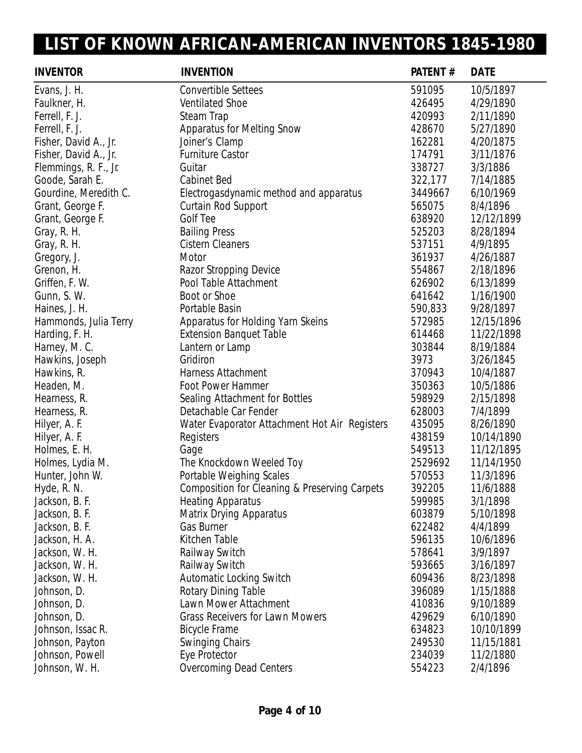| <b>INVENTOR</b>       | <b>INVENTION</b>                              | PATENT# | <b>DATE</b> |
|-----------------------|-----------------------------------------------|---------|-------------|
| Evans, J. H.          | <b>Convertible Settees</b>                    | 591095  | 10/5/1897   |
| Faulkner, H.          | <b>Ventilated Shoe</b>                        | 426495  | 4/29/1890   |
| Ferrell, F. J.        | Steam Trap                                    | 420993  | 2/11/1890   |
| Ferrell, F. J.        | <b>Apparatus for Melting Snow</b>             | 428670  | 5/27/1890   |
| Fisher, David A., Jr. | Joiner's Clamp                                | 162281  | 4/20/1875   |
| Fisher, David A., Jr. | <b>Furniture Castor</b>                       | 174791  | 3/11/1876   |
| Flemmings, R. F., Jr. | Guitar                                        | 338727  | 3/3/1886    |
| Goode, Sarah E.       | <b>Cabinet Bed</b>                            | 322,177 | 7/14/1885   |
| Gourdine, Meredith C. | Electrogasdynamic method and apparatus        | 3449667 | 6/10/1969   |
| Grant, George F.      | Curtain Rod Support                           | 565075  | 8/4/1896    |
| Grant, George F.      | <b>Golf Tee</b>                               | 638920  | 12/12/1899  |
| Gray, R. H.           | <b>Bailing Press</b>                          | 525203  | 8/28/1894   |
| Gray, R. H.           | <b>Cistern Cleaners</b>                       | 537151  | 4/9/1895    |
| Gregory, J.           | Motor                                         | 361937  | 4/26/1887   |
| Grenon, H.            | Razor Stropping Device                        | 554867  | 2/18/1896   |
| Griffen, F. W.        | Pool Table Attachment                         | 626902  | 6/13/1899   |
| Gunn, S. W.           | Boot or Shoe                                  | 641642  | 1/16/1900   |
| Haines, J. H.         | Portable Basin                                | 590,833 | 9/28/1897   |
| Hammonds, Julia Terry | Apparatus for Holding Yarn Skeins             | 572985  | 12/15/1896  |
| Harding, F. H.        | <b>Extension Banquet Table</b>                | 614468  | 11/22/1898  |
| Harney, M. C.         | Lantern or Lamp                               | 303844  | 8/19/1884   |
| Hawkins, Joseph       | Gridiron                                      | 3973    | 3/26/1845   |
| Hawkins, R.           | <b>Harness Attachment</b>                     | 370943  | 10/4/1887   |
| Headen, M.            | Foot Power Hammer                             | 350363  | 10/5/1886   |
| Hearness, R.          | Sealing Attachment for Bottles                | 598929  | 2/15/1898   |
| Hearness, R.          | Detachable Car Fender                         | 628003  | 7/4/1899    |
| Hilyer, A. F.         | Water Evaporator Attachment Hot Air Registers | 435095  | 8/26/1890   |
| Hilyer, A. F.         | Registers                                     | 438159  | 10/14/1890  |
| Holmes, E. H.         | Gage                                          | 549513  | 11/12/1895  |
| Holmes, Lydia M.      | The Knockdown Weeled Toy                      | 2529692 | 11/14/1950  |
| Hunter, John W.       | Portable Weighing Scales                      | 570553  | 11/3/1896   |
| Hyde, R. N.           | Composition for Cleaning & Preserving Carpets | 392205  | 11/6/1888   |
| Jackson, B. F.        | <b>Heating Apparatus</b>                      | 599985  | 3/1/1898    |
| Jackson, B. F.        | <b>Matrix Drying Apparatus</b>                | 603879  | 5/10/1898   |
| Jackson, B. F.        | Gas Burner                                    | 622482  | 4/4/1899    |
| Jackson, H. A.        | <b>Kitchen Table</b>                          | 596135  | 10/6/1896   |
| Jackson, W. H.        | Railway Switch                                | 578641  | 3/9/1897    |
| Jackson, W. H.        | Railway Switch                                | 593665  | 3/16/1897   |
| Jackson, W. H.        | <b>Automatic Locking Switch</b>               | 609436  | 8/23/1898   |
| Johnson, D.           | <b>Rotary Dining Table</b>                    | 396089  | 1/15/1888   |
| Johnson, D.           | Lawn Mower Attachment                         | 410836  | 9/10/1889   |
| Johnson, D.           | <b>Grass Receivers for Lawn Mowers</b>        | 429629  | 6/10/1890   |
| Johnson, Issac R.     | <b>Bicycle Frame</b>                          | 634823  | 10/10/1899  |
| Johnson, Payton       | <b>Swinging Chairs</b>                        | 249530  | 11/15/1881  |
| Johnson, Powell       | Eye Protector                                 | 234039  | 11/2/1880   |
| Johnson, W. H.        | <b>Overcoming Dead Centers</b>                | 554223  | 2/4/1896    |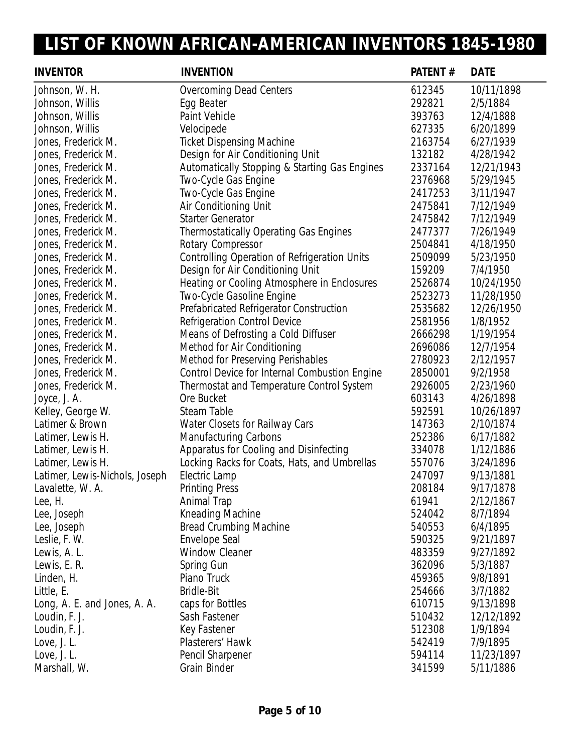| <b>INVENTOR</b>                | <b>INVENTION</b>                              | PATENT# | <b>DATE</b> |
|--------------------------------|-----------------------------------------------|---------|-------------|
| Johnson, W. H.                 | <b>Overcoming Dead Centers</b>                | 612345  | 10/11/1898  |
| Johnson, Willis                | Egg Beater                                    | 292821  | 2/5/1884    |
| Johnson, Willis                | Paint Vehicle                                 | 393763  | 12/4/1888   |
| Johnson, Willis                | Velocipede                                    | 627335  | 6/20/1899   |
| Jones, Frederick M.            | <b>Ticket Dispensing Machine</b>              | 2163754 | 6/27/1939   |
| Jones, Frederick M.            | Design for Air Conditioning Unit              | 132182  | 4/28/1942   |
| Jones, Frederick M.            | Automatically Stopping & Starting Gas Engines | 2337164 | 12/21/1943  |
| Jones, Frederick M.            | Two-Cycle Gas Engine                          | 2376968 | 5/29/1945   |
| Jones, Frederick M.            | Two-Cycle Gas Engine                          | 2417253 | 3/11/1947   |
| Jones, Frederick M.            | Air Conditioning Unit                         | 2475841 | 7/12/1949   |
| Jones, Frederick M.            | <b>Starter Generator</b>                      | 2475842 | 7/12/1949   |
| Jones, Frederick M.            | <b>Thermostatically Operating Gas Engines</b> | 2477377 | 7/26/1949   |
| Jones, Frederick M.            | Rotary Compressor                             | 2504841 | 4/18/1950   |
| Jones, Frederick M.            | Controlling Operation of Refrigeration Units  | 2509099 | 5/23/1950   |
| Jones, Frederick M.            | Design for Air Conditioning Unit              | 159209  | 7/4/1950    |
| Jones, Frederick M.            | Heating or Cooling Atmosphere in Enclosures   | 2526874 | 10/24/1950  |
| Jones, Frederick M.            | Two-Cycle Gasoline Engine                     | 2523273 | 11/28/1950  |
| Jones, Frederick M.            | Prefabricated Refrigerator Construction       | 2535682 | 12/26/1950  |
| Jones, Frederick M.            | <b>Refrigeration Control Device</b>           | 2581956 | 1/8/1952    |
| Jones, Frederick M.            | Means of Defrosting a Cold Diffuser           | 2666298 | 1/19/1954   |
| Jones, Frederick M.            | Method for Air Conditioning                   | 2696086 | 12/7/1954   |
| Jones, Frederick M.            | <b>Method for Preserving Perishables</b>      | 2780923 | 2/12/1957   |
| Jones, Frederick M.            | Control Device for Internal Combustion Engine | 2850001 | 9/2/1958    |
| Jones, Frederick M.            | Thermostat and Temperature Control System     | 2926005 | 2/23/1960   |
| Joyce, J. A.                   | Ore Bucket                                    | 603143  | 4/26/1898   |
| Kelley, George W.              | Steam Table                                   | 592591  | 10/26/1897  |
| Latimer & Brown                | Water Closets for Railway Cars                | 147363  | 2/10/1874   |
| Latimer, Lewis H.              | <b>Manufacturing Carbons</b>                  | 252386  | 6/17/1882   |
| Latimer, Lewis H.              | Apparatus for Cooling and Disinfecting        | 334078  | 1/12/1886   |
| Latimer, Lewis H.              | Locking Racks for Coats, Hats, and Umbrellas  | 557076  | 3/24/1896   |
| Latimer, Lewis-Nichols, Joseph | Electric Lamp                                 | 247097  | 9/13/1881   |
| Lavalette, W. A.               | <b>Printing Press</b>                         | 208184  | 9/17/1878   |
| Lee, H.                        | Animal Trap                                   | 61941   | 2/12/1867   |
| Lee, Joseph                    | <b>Kneading Machine</b>                       | 524042  | 8/7/1894    |
| Lee, Joseph                    | <b>Bread Crumbing Machine</b>                 | 540553  | 6/4/1895    |
| Leslie, F. W.                  | <b>Envelope Seal</b>                          | 590325  | 9/21/1897   |
| Lewis, A. L.                   | <b>Window Cleaner</b>                         | 483359  | 9/27/1892   |
| Lewis, E. R.                   | Spring Gun                                    | 362096  | 5/3/1887    |
| Linden, H.                     | Piano Truck                                   | 459365  | 9/8/1891    |
| Little, E.                     | <b>Bridle-Bit</b>                             | 254666  | 3/7/1882    |
| Long, A. E. and Jones, A. A.   | caps for Bottles                              | 610715  | 9/13/1898   |
| Loudin, F. J.                  | Sash Fastener                                 | 510432  | 12/12/1892  |
| Loudin, F. J.                  | Key Fastener                                  | 512308  | 1/9/1894    |
| Love, J. L.                    | Plasterers' Hawk                              | 542419  | 7/9/1895    |
| Love, J. L.                    | Pencil Sharpener                              | 594114  | 11/23/1897  |
| Marshall, W.                   | Grain Binder                                  | 341599  | 5/11/1886   |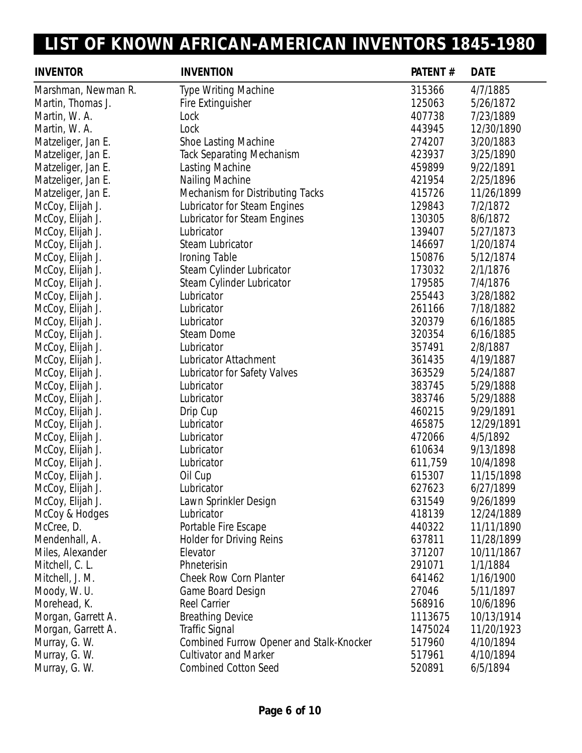| <b>INVENTOR</b>     | <b>INVENTION</b>                         | PATENT# | <b>DATE</b> |
|---------------------|------------------------------------------|---------|-------------|
| Marshman, Newman R. | Type Writing Machine                     | 315366  | 4/7/1885    |
| Martin, Thomas J.   | Fire Extinguisher                        | 125063  | 5/26/1872   |
| Martin, W. A.       | Lock                                     | 407738  | 7/23/1889   |
| Martin, W. A.       | Lock                                     | 443945  | 12/30/1890  |
| Matzeliger, Jan E.  | <b>Shoe Lasting Machine</b>              | 274207  | 3/20/1883   |
| Matzeliger, Jan E.  | <b>Tack Separating Mechanism</b>         | 423937  | 3/25/1890   |
| Matzeliger, Jan E.  | Lasting Machine                          | 459899  | 9/22/1891   |
| Matzeliger, Jan E.  | Nailing Machine                          | 421954  | 2/25/1896   |
| Matzeliger, Jan E.  | <b>Mechanism for Distributing Tacks</b>  | 415726  | 11/26/1899  |
| McCoy, Elijah J.    | Lubricator for Steam Engines             | 129843  | 7/2/1872    |
| McCoy, Elijah J.    | Lubricator for Steam Engines             | 130305  | 8/6/1872    |
| McCoy, Elijah J.    | Lubricator                               | 139407  | 5/27/1873   |
| McCoy, Elijah J.    | <b>Steam Lubricator</b>                  | 146697  | 1/20/1874   |
| McCoy, Elijah J.    | Ironing Table                            | 150876  | 5/12/1874   |
| McCoy, Elijah J.    | Steam Cylinder Lubricator                | 173032  | 2/1/1876    |
| McCoy, Elijah J.    | Steam Cylinder Lubricator                | 179585  | 7/4/1876    |
| McCoy, Elijah J.    | Lubricator                               | 255443  | 3/28/1882   |
| McCoy, Elijah J.    | Lubricator                               | 261166  | 7/18/1882   |
| McCoy, Elijah J.    | Lubricator                               | 320379  | 6/16/1885   |
| McCoy, Elijah J.    | <b>Steam Dome</b>                        | 320354  | 6/16/1885   |
| McCoy, Elijah J.    | Lubricator                               | 357491  | 2/8/1887    |
| McCoy, Elijah J.    | Lubricator Attachment                    | 361435  | 4/19/1887   |
| McCoy, Elijah J.    | Lubricator for Safety Valves             | 363529  | 5/24/1887   |
| McCoy, Elijah J.    | Lubricator                               | 383745  | 5/29/1888   |
| McCoy, Elijah J.    | Lubricator                               | 383746  | 5/29/1888   |
| McCoy, Elijah J.    | Drip Cup                                 | 460215  | 9/29/1891   |
| McCoy, Elijah J.    | Lubricator                               | 465875  | 12/29/1891  |
| McCoy, Elijah J.    | Lubricator                               | 472066  | 4/5/1892    |
| McCoy, Elijah J.    | Lubricator                               | 610634  | 9/13/1898   |
| McCoy, Elijah J.    | Lubricator                               | 611,759 | 10/4/1898   |
| McCoy, Elijah J.    | Oil Cup                                  | 615307  | 11/15/1898  |
| McCoy, Elijah J.    | Lubricator                               | 627623  | 6/27/1899   |
| McCoy, Elijah J.    | Lawn Sprinkler Design                    | 631549  | 9/26/1899   |
| McCoy & Hodges      | Lubricator                               | 418139  | 12/24/1889  |
| McCree, D.          | Portable Fire Escape                     | 440322  | 11/11/1890  |
| Mendenhall, A.      | <b>Holder for Driving Reins</b>          | 637811  | 11/28/1899  |
| Miles, Alexander    | Elevator                                 | 371207  | 10/11/1867  |
| Mitchell, C. L.     | Phneterisin                              | 291071  | 1/1/1884    |
| Mitchell, J. M.     | <b>Cheek Row Corn Planter</b>            | 641462  | 1/16/1900   |
| Moody, W.U.         | Game Board Design                        | 27046   | 5/11/1897   |
| Morehead, K.        | <b>Reel Carrier</b>                      | 568916  | 10/6/1896   |
| Morgan, Garrett A.  | <b>Breathing Device</b>                  | 1113675 | 10/13/1914  |
| Morgan, Garrett A.  | <b>Traffic Signal</b>                    | 1475024 | 11/20/1923  |
| Murray, G. W.       | Combined Furrow Opener and Stalk-Knocker | 517960  | 4/10/1894   |
| Murray, G. W.       | <b>Cultivator and Marker</b>             | 517961  | 4/10/1894   |
| Murray, G. W.       | <b>Combined Cotton Seed</b>              | 520891  | 6/5/1894    |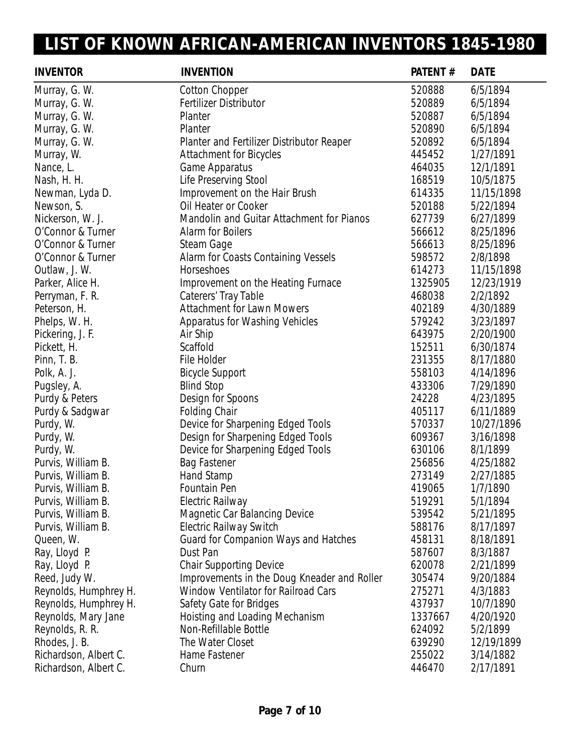| <b>INVENTOR</b>       | <b>INVENTION</b>                            | PATENT# | <b>DATE</b> |
|-----------------------|---------------------------------------------|---------|-------------|
| Murray, G. W.         | <b>Cotton Chopper</b>                       | 520888  | 6/5/1894    |
| Murray, G. W.         | Fertilizer Distributor                      | 520889  | 6/5/1894    |
| Murray, G. W.         | Planter                                     | 520887  | 6/5/1894    |
| Murray, G. W.         | Planter                                     | 520890  | 6/5/1894    |
| Murray, G. W.         | Planter and Fertilizer Distributor Reaper   | 520892  | 6/5/1894    |
| Murray, W.            | <b>Attachment for Bicycles</b>              | 445452  | 1/27/1891   |
| Nance, L.             | Game Apparatus                              | 464035  | 12/1/1891   |
| Nash, H. H.           | Life Preserving Stool                       | 168519  | 10/5/1875   |
| Newman, Lyda D.       | Improvement on the Hair Brush               | 614335  | 11/15/1898  |
| Newson, S.            | Oil Heater or Cooker                        | 520188  | 5/22/1894   |
| Nickerson, W. J.      | Mandolin and Guitar Attachment for Pianos   | 627739  | 6/27/1899   |
| O'Connor & Turner     | Alarm for Boilers                           | 566612  | 8/25/1896   |
| O'Connor & Turner     | Steam Gage                                  | 566613  | 8/25/1896   |
| O'Connor & Turner     | Alarm for Coasts Containing Vessels         | 598572  | 2/8/1898    |
| Outlaw, J. W.         | Horseshoes                                  | 614273  | 11/15/1898  |
| Parker, Alice H.      | Improvement on the Heating Furnace          | 1325905 | 12/23/1919  |
| Perryman, F. R.       | Caterers' Tray Table                        | 468038  | 2/2/1892    |
| Peterson, H.          | <b>Attachment for Lawn Mowers</b>           | 402189  | 4/30/1889   |
| Phelps, W. H.         | <b>Apparatus for Washing Vehicles</b>       | 579242  | 3/23/1897   |
| Pickering, J. F.      | Air Ship                                    | 643975  | 2/20/1900   |
| Pickett, H.           | Scaffold                                    | 152511  | 6/30/1874   |
| Pinn, T. B.           | File Holder                                 | 231355  | 8/17/1880   |
| Polk, A. J.           | <b>Bicycle Support</b>                      | 558103  | 4/14/1896   |
| Pugsley, A.           | <b>Blind Stop</b>                           | 433306  | 7/29/1890   |
| Purdy & Peters        | Design for Spoons                           | 24228   | 4/23/1895   |
| Purdy & Sadgwar       | <b>Folding Chair</b>                        | 405117  | 6/11/1889   |
| Purdy, W.             | Device for Sharpening Edged Tools           | 570337  | 10/27/1896  |
| Purdy, W.             | Design for Sharpening Edged Tools           | 609367  | 3/16/1898   |
| Purdy, W.             | Device for Sharpening Edged Tools           | 630106  | 8/1/1899    |
| Purvis, William B.    | <b>Bag Fastener</b>                         | 256856  | 4/25/1882   |
| Purvis, William B.    | Hand Stamp                                  | 273149  | 2/27/1885   |
| Purvis, William B.    | Fountain Pen                                | 419065  | 1/7/1890    |
| Purvis, William B.    | Electric Railway                            | 519291  | 5/1/1894    |
| Purvis, William B.    | <b>Magnetic Car Balancing Device</b>        | 539542  | 5/21/1895   |
| Purvis, William B.    | <b>Electric Railway Switch</b>              | 588176  | 8/17/1897   |
| Queen, W.             | Guard for Companion Ways and Hatches        | 458131  | 8/18/1891   |
| Ray, Lloyd P.         | Dust Pan                                    | 587607  | 8/3/1887    |
| Ray, Lloyd P.         | <b>Chair Supporting Device</b>              | 620078  | 2/21/1899   |
| Reed, Judy W.         | Improvements in the Doug Kneader and Roller | 305474  | 9/20/1884   |
| Reynolds, Humphrey H. | <b>Window Ventilator for Railroad Cars</b>  | 275271  | 4/3/1883    |
| Reynolds, Humphrey H. | Safety Gate for Bridges                     | 437937  | 10/7/1890   |
| Reynolds, Mary Jane   | Hoisting and Loading Mechanism              | 1337667 | 4/20/1920   |
| Reynolds, R. R.       | Non-Refillable Bottle                       | 624092  | 5/2/1899    |
| Rhodes, J. B.         | The Water Closet                            | 639290  | 12/19/1899  |
| Richardson, Albert C. | Hame Fastener                               | 255022  | 3/14/1882   |
| Richardson, Albert C. | Churn                                       | 446470  | 2/17/1891   |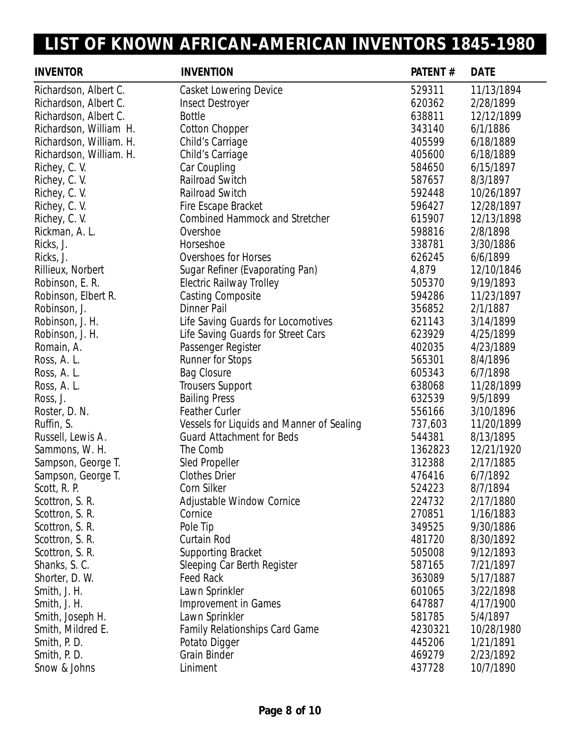| <b>INVENTOR</b>         | <b>INVENTION</b>                          | PATENT# | <b>DATE</b> |
|-------------------------|-------------------------------------------|---------|-------------|
| Richardson, Albert C.   | <b>Casket Lowering Device</b>             | 529311  | 11/13/1894  |
| Richardson, Albert C.   | <b>Insect Destroyer</b>                   | 620362  | 2/28/1899   |
| Richardson, Albert C.   | <b>Bottle</b>                             | 638811  | 12/12/1899  |
| Richardson, William H.  | <b>Cotton Chopper</b>                     | 343140  | 6/1/1886    |
| Richardson, William. H. | Child's Carriage                          | 405599  | 6/18/1889   |
| Richardson, William. H. | Child's Carriage                          | 405600  | 6/18/1889   |
| Richey, C. V.           | Car Coupling                              | 584650  | 6/15/1897   |
| Richey, C. V.           | Railroad Switch                           | 587657  | 8/3/1897    |
| Richey, C. V.           | Railroad Switch                           | 592448  | 10/26/1897  |
| Richey, C. V.           | Fire Escape Bracket                       | 596427  | 12/28/1897  |
| Richey, C. V.           | <b>Combined Hammock and Stretcher</b>     | 615907  | 12/13/1898  |
| Rickman, A. L.          | Overshoe                                  | 598816  | 2/8/1898    |
| Ricks, J.               | Horseshoe                                 | 338781  | 3/30/1886   |
| Ricks, J.               | <b>Overshoes for Horses</b>               | 626245  | 6/6/1899    |
| Rillieux, Norbert       | Sugar Refiner (Evaporating Pan)           | 4,879   | 12/10/1846  |
| Robinson, E. R.         | <b>Electric Railway Trolley</b>           | 505370  | 9/19/1893   |
| Robinson, Elbert R.     | <b>Casting Composite</b>                  | 594286  | 11/23/1897  |
| Robinson, J.            | <b>Dinner Pail</b>                        | 356852  | 2/1/1887    |
| Robinson, J. H.         | Life Saving Guards for Locomotives        | 621143  | 3/14/1899   |
| Robinson, J. H.         | Life Saving Guards for Street Cars        | 623929  | 4/25/1899   |
| Romain, A.              | Passenger Register                        | 402035  | 4/23/1889   |
| Ross, A. L.             | <b>Runner for Stops</b>                   | 565301  | 8/4/1896    |
| Ross, A. L.             | <b>Bag Closure</b>                        | 605343  | 6/7/1898    |
| Ross, A. L.             | <b>Trousers Support</b>                   | 638068  | 11/28/1899  |
| Ross, J.                | <b>Bailing Press</b>                      | 632539  | 9/5/1899    |
| Roster, D. N.           | <b>Feather Curler</b>                     | 556166  | 3/10/1896   |
| Ruffin, S.              | Vessels for Liquids and Manner of Sealing | 737,603 | 11/20/1899  |
| Russell, Lewis A.       | <b>Guard Attachment for Beds</b>          | 544381  | 8/13/1895   |
| Sammons, W. H.          | The Comb                                  | 1362823 | 12/21/1920  |
| Sampson, George T.      | Sled Propeller                            | 312388  | 2/17/1885   |
| Sampson, George T.      | <b>Clothes Drier</b>                      | 476416  | 6/7/1892    |
| Scott, R. P.            | <b>Corn Silker</b>                        | 524223  | 8/7/1894    |
| Scottron, S. R.         | Adjustable Window Cornice                 | 224732  | 2/17/1880   |
| Scottron, S. R.         | Cornice                                   | 270851  | 1/16/1883   |
| Scottron, S. R.         | Pole Tip                                  | 349525  | 9/30/1886   |
| Scottron, S. R.         | Curtain Rod                               | 481720  | 8/30/1892   |
| Scottron, S. R.         | <b>Supporting Bracket</b>                 | 505008  | 9/12/1893   |
| Shanks, S. C.           | Sleeping Car Berth Register               | 587165  | 7/21/1897   |
| Shorter, D. W.          | <b>Feed Rack</b>                          | 363089  | 5/17/1887   |
| Smith, J. H.            | Lawn Sprinkler                            | 601065  | 3/22/1898   |
| Smith, J. H.            | Improvement in Games                      | 647887  | 4/17/1900   |
| Smith, Joseph H.        | Lawn Sprinkler                            | 581785  | 5/4/1897    |
| Smith, Mildred E.       | <b>Family Relationships Card Game</b>     | 4230321 | 10/28/1980  |
| Smith, P. D.            | Potato Digger                             | 445206  | 1/21/1891   |
| Smith, P. D.            | <b>Grain Binder</b>                       | 469279  | 2/23/1892   |
| Snow & Johns            | Liniment                                  | 437728  | 10/7/1890   |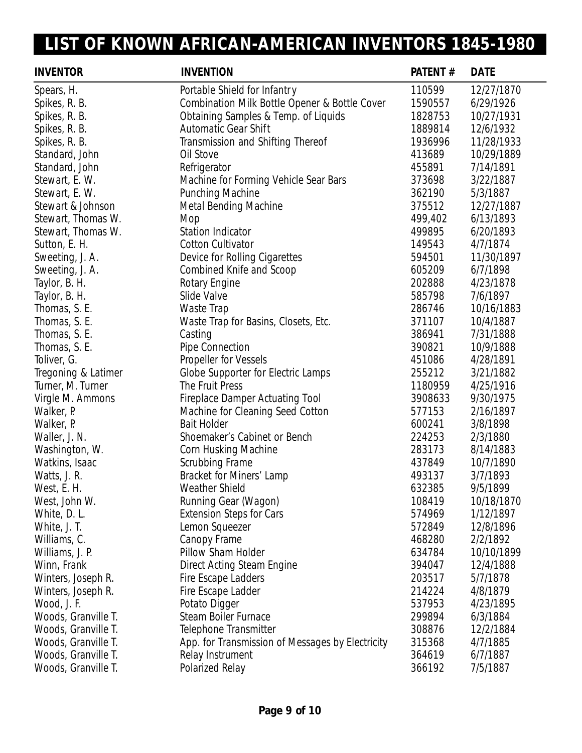| <b>INVENTOR</b>     | <b>INVENTION</b>                                 | PATENT# | <b>DATE</b> |
|---------------------|--------------------------------------------------|---------|-------------|
| Spears, H.          | Portable Shield for Infantry                     | 110599  | 12/27/1870  |
| Spikes, R. B.       | Combination Milk Bottle Opener & Bottle Cover    | 1590557 | 6/29/1926   |
| Spikes, R. B.       | Obtaining Samples & Temp. of Liquids             | 1828753 | 10/27/1931  |
| Spikes, R. B.       | <b>Automatic Gear Shift</b>                      | 1889814 | 12/6/1932   |
| Spikes, R. B.       | Transmission and Shifting Thereof                | 1936996 | 11/28/1933  |
| Standard, John      | Oil Stove                                        | 413689  | 10/29/1889  |
| Standard, John      | Refrigerator                                     | 455891  | 7/14/1891   |
| Stewart, E. W.      | Machine for Forming Vehicle Sear Bars            | 373698  | 3/22/1887   |
| Stewart, E. W.      | Punching Machine                                 | 362190  | 5/3/1887    |
| Stewart & Johnson   | <b>Metal Bending Machine</b>                     | 375512  | 12/27/1887  |
| Stewart, Thomas W.  | Mop                                              | 499,402 | 6/13/1893   |
| Stewart, Thomas W.  | <b>Station Indicator</b>                         | 499895  | 6/20/1893   |
| Sutton, E. H.       | <b>Cotton Cultivator</b>                         | 149543  | 4/7/1874    |
| Sweeting, J. A.     | Device for Rolling Cigarettes                    | 594501  | 11/30/1897  |
| Sweeting, J. A.     | Combined Knife and Scoop                         | 605209  | 6/7/1898    |
| Taylor, B. H.       | Rotary Engine                                    | 202888  | 4/23/1878   |
| Taylor, B. H.       | Slide Valve                                      | 585798  | 7/6/1897    |
| Thomas, S. E.       | Waste Trap                                       | 286746  | 10/16/1883  |
| Thomas, S. E.       | Waste Trap for Basins, Closets, Etc.             | 371107  | 10/4/1887   |
| Thomas, S. E.       | Casting                                          | 386941  | 7/31/1888   |
| Thomas, S. E.       | <b>Pipe Connection</b>                           | 390821  | 10/9/1888   |
| Toliver, G.         | <b>Propeller for Vessels</b>                     | 451086  | 4/28/1891   |
| Tregoning & Latimer | Globe Supporter for Electric Lamps               | 255212  | 3/21/1882   |
| Turner, M. Turner   | The Fruit Press                                  | 1180959 | 4/25/1916   |
| Virgle M. Ammons    | <b>Fireplace Damper Actuating Tool</b>           | 3908633 | 9/30/1975   |
| Walker, P.          | Machine for Cleaning Seed Cotton                 | 577153  | 2/16/1897   |
| Walker, P.          | <b>Bait Holder</b>                               | 600241  | 3/8/1898    |
| Waller, J. N.       | Shoemaker's Cabinet or Bench                     | 224253  | 2/3/1880    |
| Washington, W.      | Corn Husking Machine                             | 283173  | 8/14/1883   |
| Watkins, Isaac      | Scrubbing Frame                                  | 437849  | 10/7/1890   |
| Watts, J. R.        | Bracket for Miners' Lamp                         | 493137  | 3/7/1893    |
| West, E. H.         | Weather Shield                                   | 632385  | 9/5/1899    |
| West, John W.       | Running Gear (Wagon)                             | 108419  | 10/18/1870  |
| White, D. L.        | <b>Extension Steps for Cars</b>                  | 574969  | 1/12/1897   |
| White, J. T.        | Lemon Squeezer                                   | 572849  | 12/8/1896   |
| Williams, C.        | Canopy Frame                                     | 468280  | 2/2/1892    |
| Williams, J. P.     | Pillow Sham Holder                               | 634784  | 10/10/1899  |
| Winn, Frank         | Direct Acting Steam Engine                       | 394047  | 12/4/1888   |
| Winters, Joseph R.  | Fire Escape Ladders                              | 203517  | 5/7/1878    |
| Winters, Joseph R.  | Fire Escape Ladder                               | 214224  | 4/8/1879    |
| Wood, J. F.         | Potato Digger                                    | 537953  | 4/23/1895   |
| Woods, Granville T. | <b>Steam Boiler Furnace</b>                      | 299894  | 6/3/1884    |
| Woods, Granville T. | Telephone Transmitter                            | 308876  | 12/2/1884   |
| Woods, Granville T. | App. for Transmission of Messages by Electricity | 315368  | 4/7/1885    |
| Woods, Granville T. | Relay Instrument                                 | 364619  | 6/7/1887    |
| Woods, Granville T. | Polarized Relay                                  | 366192  | 7/5/1887    |